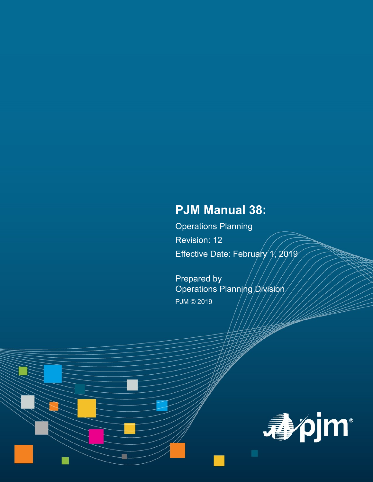# **PJM Manual 38:**

Operations Planning Revision: 12 Effective Date: February  $\sqrt{1/2019}$ 

Prepared by Operations Planning Division PJM © 2019

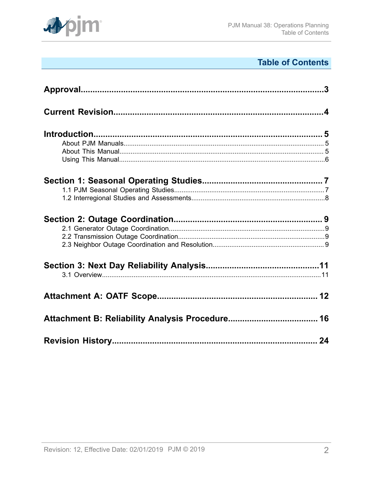

# **Table of Contents**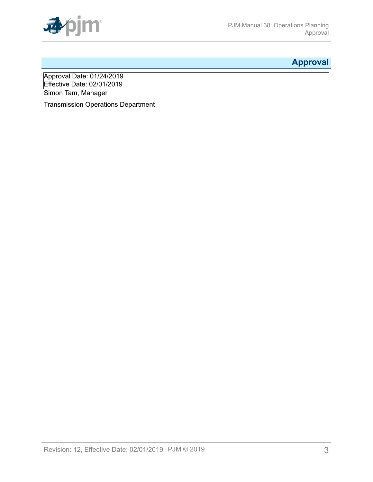

# <span id="page-2-0"></span>**Approval**

Approval Date: 01/24/2019 Effective Date: 02/01/2019 Simon Tam, Manager

Transmission Operations Department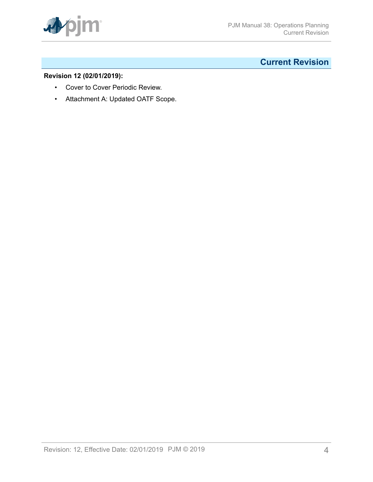

# <span id="page-3-0"></span>**Current Revision**

### **Revision 12 (02/01/2019):**

- Cover to Cover Periodic Review.
- Attachment A: Updated OATF Scope.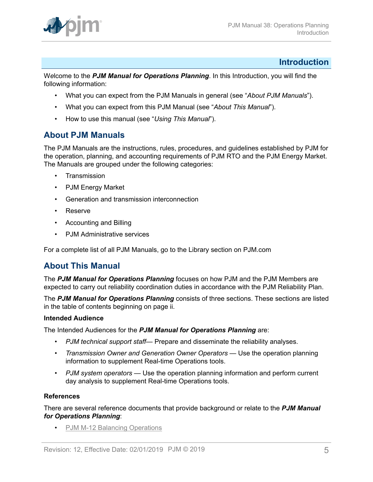

### <span id="page-4-0"></span>**Introduction**

W*e*lcome to the *PJM Manual for Operations Planning*. In this Introduction, you will find the following information:

- What you can expect from the PJM Manuals in general (see "*About PJM Manuals*").
- What you can expect from this PJM Manual (see "*About This Manual*").
- How to use this manual (see "*Using This Manual*").

## <span id="page-4-1"></span>**About PJM Manuals**

The PJM Manuals are the instructions, rules, procedures, and guidelines established by PJM for the operation, planning, and accounting requirements of PJM RTO and the PJM Energy Market. The Manuals are grouped under the following categories:

- **Transmission**
- PJM Energy Market
- Generation and transmission interconnection
- Reserve
- Accounting and Billing
- PJM Administrative services

For a complete list of all PJM Manuals, go to the Library section on PJM.com

## <span id="page-4-2"></span>**About This Manual**

The *PJM Manual for Operations Planning* focuses on how PJM and the PJM Members are expected to carry out reliability coordination duties in accordance with the PJM Reliability Plan.

The *PJM Manual for Operations Planning* consists of three sections. These sections are listed in the table of contents beginning on page ii.

#### **Intended Audience**

The Intended Audiences for the *PJM Manual for Operations Planning* are:

- *PJM technical support staff* Prepare and disseminate the reliability analyses.
- *Transmission Owner and Generation Owner Operators* Use the operation planning information to supplement Real-time Operations tools.
- *PJM system operators* Use the operation planning information and perform current day analysis to supplement Real-time Operations tools.

#### **References**

There are several reference documents that provide background or relate to the *PJM Manual for Operations Planning*:

• [PJM M-12 Balancing Operations](http://www.pjm.com/~/media/documents/manuals/m12.ashx)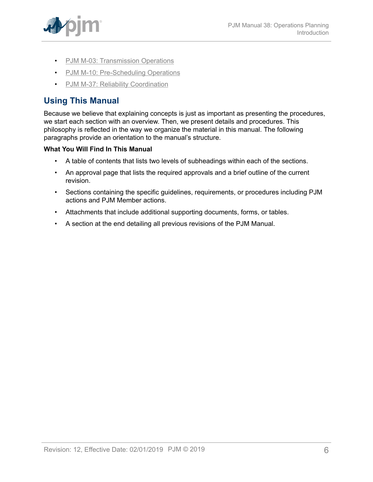

- PJM M-03: [Transmission](http://www.pjm.com/~/media/documents/manuals/m03.ashx) Operations
- [PJM M-10: Pre-Scheduling Operations](http://www.pjm.com/~/media/documents/manuals/m10.ashx)
- [PJM M-37: Reliability Coordination](http://pjm.com/~/media/documents/manuals/m37.ashx)

# <span id="page-5-0"></span>**Using This Manual**

Because we believe that explaining concepts is just as important as presenting the procedures, we start each section with an overview. Then, we present details and procedures. This philosophy is reflected in the way we organize the material in this manual. The following paragraphs provide an orientation to the manual's structure.

### **What You Will Find In This Manual**

- A table of contents that lists two levels of subheadings within each of the sections.
- An approval page that lists the required approvals and a brief outline of the current revision.
- Sections containing the specific guidelines, requirements, or procedures including PJM actions and PJM Member actions.
- Attachments that include additional supporting documents, forms, or tables.
- A section at the end detailing all previous revisions of the PJM Manual.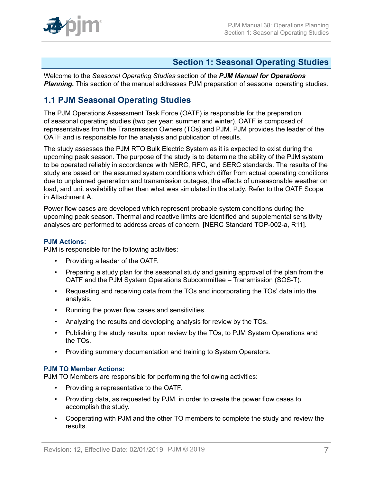

## <span id="page-6-0"></span>**Section 1: Seasonal Operating Studies**

Welcome to the *Seasonal Operating Studies* section of the *PJM Manual for Operations* **Planning.** This section of the manual addresses PJM preparation of seasonal operating studies.

## <span id="page-6-1"></span>**1.1 PJM Seasonal Operating Studies**

The PJM Operations Assessment Task Force (OATF) is responsible for the preparation of seasonal operating studies (two per year: summer and winter). OATF is composed of representatives from the Transmission Owners (TOs) and PJM. PJM provides the leader of the OATF and is responsible for the analysis and publication of results.

The study assesses the PJM RTO Bulk Electric System as it is expected to exist during the upcoming peak season. The purpose of the study is to determine the ability of the PJM system to be operated reliably in accordance with NERC, RFC, and SERC standards. The results of the study are based on the assumed system conditions which differ from actual operating conditions due to unplanned generation and transmission outages, the effects of unseasonable weather on load, and unit availability other than what was simulated in the study. Refer to the OATF Scope in Attachment A.

Power flow cases are developed which represent probable system conditions during the upcoming peak season. Thermal and reactive limits are identified and supplemental sensitivity analyses are performed to address areas of concern. [NERC Standard TOP-002-a, R11].

#### **PJM Actions:**

PJM is responsible for the following activities:

- Providing a leader of the OATF.
- Preparing a study plan for the seasonal study and gaining approval of the plan from the OATF and the PJM System Operations Subcommittee – Transmission (SOS-T).
- Requesting and receiving data from the TOs and incorporating the TOs' data into the analysis.
- Running the power flow cases and sensitivities.
- Analyzing the results and developing analysis for review by the TOs.
- Publishing the study results, upon review by the TOs, to PJM System Operations and the TOs.
- Providing summary documentation and training to System Operators.

#### **PJM TO Member Actions:**

PJM TO Members are responsible for performing the following activities:

- Providing a representative to the OATF.
- Providing data, as requested by PJM, in order to create the power flow cases to accomplish the study.
- Cooperating with PJM and the other TO members to complete the study and review the results.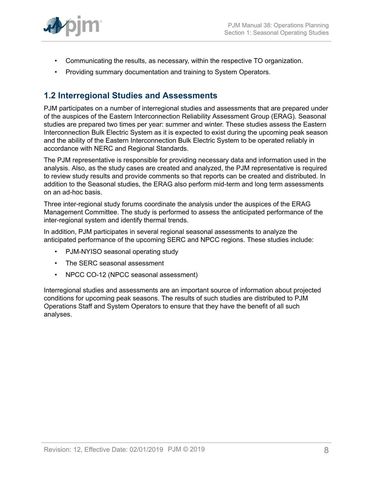

- Communicating the results, as necessary, within the respective TO organization.
- Providing summary documentation and training to System Operators.

## <span id="page-7-0"></span>**1.2 Interregional Studies and Assessments**

PJM participates on a number of interregional studies and assessments that are prepared under of the auspices of the Eastern Interconnection Reliability Assessment Group (ERAG). Seasonal studies are prepared two times per year: summer and winter. These studies assess the Eastern Interconnection Bulk Electric System as it is expected to exist during the upcoming peak season and the ability of the Eastern Interconnection Bulk Electric System to be operated reliably in accordance with NERC and Regional Standards.

The PJM representative is responsible for providing necessary data and information used in the analysis. Also, as the study cases are created and analyzed, the PJM representative is required to review study results and provide comments so that reports can be created and distributed. In addition to the Seasonal studies, the ERAG also perform mid-term and long term assessments on an ad-hoc basis.

Three inter-regional study forums coordinate the analysis under the auspices of the ERAG Management Committee. The study is performed to assess the anticipated performance of the inter-regional system and identify thermal trends.

In addition, PJM participates in several regional seasonal assessments to analyze the anticipated performance of the upcoming SERC and NPCC regions. These studies include:

- PJM-NYISO seasonal operating study
- The SERC seasonal assessment
- NPCC CO-12 (NPCC seasonal assessment)

Interregional studies and assessments are an important source of information about projected conditions for upcoming peak seasons. The results of such studies are distributed to PJM Operations Staff and System Operators to ensure that they have the benefit of all such analyses.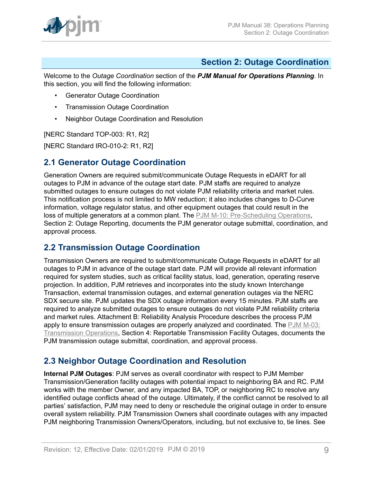

## <span id="page-8-0"></span>**Section 2: Outage Coordination**

Welcome to the *Outage Coordination* section of the *PJM Manual for Operations Planning*. In this section, you will find the following information:

- Generator Outage Coordination
- Transmission Outage Coordination
- Neighbor Outage Coordination and Resolution

[NERC Standard TOP-003: R1, R2]

[NERC Standard IRO-010-2: R1, R2]

### <span id="page-8-1"></span>**2.1 Generator Outage Coordination**

Generation Owners are required submit/communicate Outage Requests in eDART for all outages to PJM in advance of the outage start date. PJM staffs are required to analyze submitted outages to ensure outages do not violate PJM reliability criteria and market rules. This notification process is not limited to MW reduction; it also includes changes to D-Curve information, voltage regulator status, and other equipment outages that could result in the loss of multiple generators at a common plant. The [PJM M-10: Pre-Scheduling Operations](http://www.pjm.com/~/media/documents/manuals/m10.ashx), Section 2: Outage Reporting, documents the PJM generator outage submittal, coordination, and approval process.

### <span id="page-8-2"></span>**2.2 Transmission Outage Coordination**

Transmission Owners are required to submit/communicate Outage Requests in eDART for all outages to PJM in advance of the outage start date. PJM will provide all relevant information required for system studies, such as critical facility status, load, generation, operating reserve projection. In addition, PJM retrieves and incorporates into the study known Interchange Transaction, external transmission outages, and external generation outages via the NERC SDX secure site. PJM updates the SDX outage information every 15 minutes. PJM staffs are required to analyze submitted outages to ensure outages do not violate PJM reliability criteria and market rules. Attachment B: Reliability Analysis Procedure describes the process PJM apply to ensure transmission outages are properly analyzed and coordinated. The [PJM M-03:](http://www.pjm.com/~/media/documents/manuals/m03.ashx) [Transmission](http://www.pjm.com/~/media/documents/manuals/m03.ashx) Operations, Section 4: Reportable Transmission Facility Outages, documents the PJM transmission outage submittal, coordination, and approval process.

## <span id="page-8-3"></span>**2.3 Neighbor Outage Coordination and Resolution**

**Internal PJM Outages**: PJM serves as overall coordinator with respect to PJM Member Transmission/Generation facility outages with potential impact to neighboring BA and RC. PJM works with the member Owner, and any impacted BA, TOP, or neighboring RC to resolve any identified outage conflicts ahead of the outage. Ultimately, if the conflict cannot be resolved to all parties' satisfaction, PJM may need to deny or reschedule the original outage in order to ensure overall system reliability. PJM Transmission Owners shall coordinate outages with any impacted PJM neighboring Transmission Owners/Operators, including, but not exclusive to, tie lines. See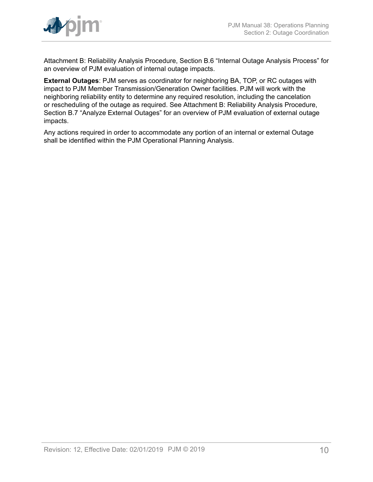

Attachment B: Reliability Analysis Procedure, Section B.6 "Internal Outage Analysis Process" for an overview of PJM evaluation of internal outage impacts.

**External Outages**: PJM serves as coordinator for neighboring BA, TOP, or RC outages with impact to PJM Member Transmission/Generation Owner facilities. PJM will work with the neighboring reliability entity to determine any required resolution, including the cancelation or rescheduling of the outage as required. See Attachment B: Reliability Analysis Procedure, Section B.7 "Analyze External Outages" for an overview of PJM evaluation of external outage impacts.

Any actions required in order to accommodate any portion of an internal or external Outage shall be identified within the PJM Operational Planning Analysis.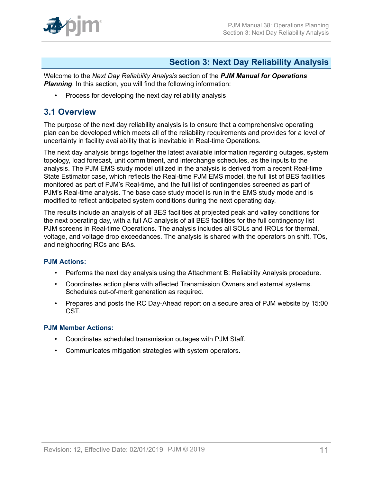

## <span id="page-10-0"></span>**Section 3: Next Day Reliability Analysis**

Welcome to the *Next Day Reliability Analysis* section of the *PJM Manual for Operations* **Planning**. In this section, you will find the following information:

• Process for developing the next day reliability analysis

## <span id="page-10-1"></span>**3.1 Overview**

The purpose of the next day reliability analysis is to ensure that a comprehensive operating plan can be developed which meets all of the reliability requirements and provides for a level of uncertainty in facility availability that is inevitable in Real-time Operations.

The next day analysis brings together the latest available information regarding outages, system topology, load forecast, unit commitment, and interchange schedules, as the inputs to the analysis. The PJM EMS study model utilized in the analysis is derived from a recent Real-time State Estimator case, which reflects the Real-time PJM EMS model, the full list of BES facilities monitored as part of PJM's Real-time, and the full list of contingencies screened as part of PJM's Real-time analysis. The base case study model is run in the EMS study mode and is modified to reflect anticipated system conditions during the next operating day.

The results include an analysis of all BES facilities at projected peak and valley conditions for the next operating day, with a full AC analysis of all BES facilities for the full contingency list PJM screens in Real-time Operations. The analysis includes all SOLs and IROLs for thermal, voltage, and voltage drop exceedances. The analysis is shared with the operators on shift, TOs, and neighboring RCs and BAs.

### **PJM Actions:**

- Performs the next day analysis using the Attachment B: Reliability Analysis procedure.
- Coordinates action plans with affected Transmission Owners and external systems. Schedules out-of-merit generation as required.
- Prepares and posts the RC Day-Ahead report on a secure area of PJM website by 15:00 CST.

#### **PJM Member Actions:**

- Coordinates scheduled transmission outages with PJM Staff.
- Communicates mitigation strategies with system operators.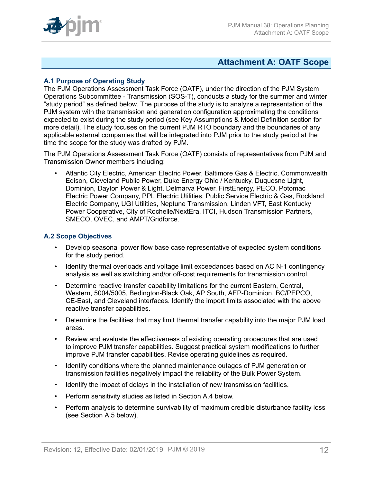

### <span id="page-11-0"></span>**Attachment A: OATF Scope**

#### **A.1 Purpose of Operating Study**

The PJM Operations Assessment Task Force (OATF), under the direction of the PJM System Operations Subcommittee - Transmission (SOS-T), conducts a study for the summer and winter "study period" as defined below. The purpose of the study is to analyze a representation of the PJM system with the transmission and generation configuration approximating the conditions expected to exist during the study period (see Key Assumptions & Model Definition section for more detail). The study focuses on the current PJM RTO boundary and the boundaries of any applicable external companies that will be integrated into PJM prior to the study period at the time the scope for the study was drafted by PJM.

The PJM Operations Assessment Task Force (OATF) consists of representatives from PJM and Transmission Owner members including:

• Atlantic City Electric, American Electric Power, Baltimore Gas & Electric, Commonwealth Edison, Cleveland Public Power, Duke Energy Ohio / Kentucky, Duquesne Light, Dominion, Dayton Power & Light, Delmarva Power, FirstEnergy, PECO, Potomac Electric Power Company, PPL Electric Utilities, Public Service Electric & Gas, Rockland Electric Company, UGI Utilities, Neptune Transmission, Linden VFT, East Kentucky Power Cooperative, City of Rochelle/NextEra, ITCI, Hudson Transmission Partners, SMECO, OVEC, and AMPT/Gridforce.

#### **A.2 Scope Objectives**

- Develop seasonal power flow base case representative of expected system conditions for the study period.
- Identify thermal overloads and voltage limit exceedances based on AC N-1 contingency analysis as well as switching and/or off-cost requirements for transmission control.
- Determine reactive transfer capability limitations for the current Eastern, Central, Western, 5004/5005, Bedington-Black Oak, AP South, AEP-Dominion, BC/PEPCO, CE-East, and Cleveland interfaces. Identify the import limits associated with the above reactive transfer capabilities.
- Determine the facilities that may limit thermal transfer capability into the major PJM load areas.
- Review and evaluate the effectiveness of existing operating procedures that are used to improve PJM transfer capabilities. Suggest practical system modifications to further improve PJM transfer capabilities. Revise operating guidelines as required.
- Identify conditions where the planned maintenance outages of PJM generation or transmission facilities negatively impact the reliability of the Bulk Power System.
- Identify the impact of delays in the installation of new transmission facilities.
- Perform sensitivity studies as listed in Section A.4 below.
- Perform analysis to determine survivability of maximum credible disturbance facility loss (see Section A.5 below).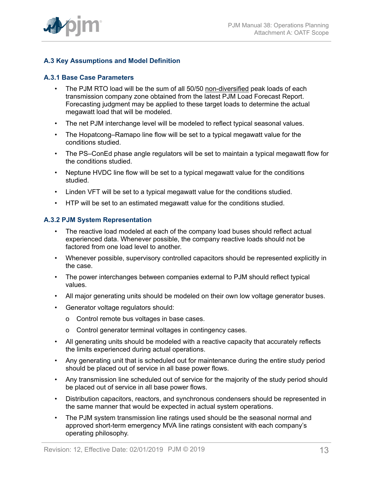

### **A.3 Key Assumptions and Model Definition**

#### **A.3.1 Base Case Parameters**

- The PJM RTO load will be the sum of all 50/50 non-diversified peak loads of each transmission company zone obtained from the latest PJM Load Forecast Report. Forecasting judgment may be applied to these target loads to determine the actual megawatt load that will be modeled.
- The net PJM interchange level will be modeled to reflect typical seasonal values.
- The Hopatcong–Ramapo line flow will be set to a typical megawatt value for the conditions studied.
- The PS–ConEd phase angle regulators will be set to maintain a typical megawatt flow for the conditions studied.
- Neptune HVDC line flow will be set to a typical megawatt value for the conditions studied.
- Linden VFT will be set to a typical megawatt value for the conditions studied.
- HTP will be set to an estimated megawatt value for the conditions studied.

#### **A.3.2 PJM System Representation**

- The reactive load modeled at each of the company load buses should reflect actual experienced data. Whenever possible, the company reactive loads should not be factored from one load level to another.
- Whenever possible, supervisory controlled capacitors should be represented explicitly in the case.
- The power interchanges between companies external to PJM should reflect typical values.
- All major generating units should be modeled on their own low voltage generator buses.
- Generator voltage regulators should:
	- o Control remote bus voltages in base cases.
	- o Control generator terminal voltages in contingency cases.
- All generating units should be modeled with a reactive capacity that accurately reflects the limits experienced during actual operations.
- Any generating unit that is scheduled out for maintenance during the entire study period should be placed out of service in all base power flows.
- Any transmission line scheduled out of service for the majority of the study period should be placed out of service in all base power flows.
- Distribution capacitors, reactors, and synchronous condensers should be represented in the same manner that would be expected in actual system operations.
- The PJM system transmission line ratings used should be the seasonal normal and approved short-term emergency MVA line ratings consistent with each company's operating philosophy.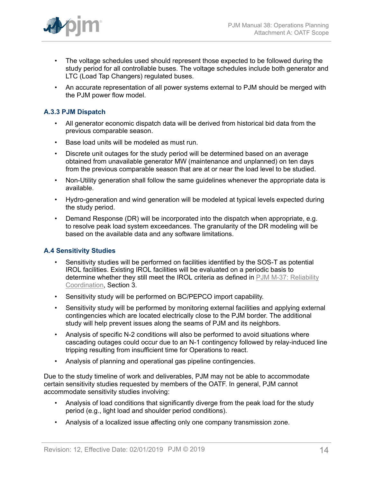

- The voltage schedules used should represent those expected to be followed during the study period for all controllable buses. The voltage schedules include both generator and LTC (Load Tap Changers) regulated buses.
- An accurate representation of all power systems external to PJM should be merged with the PJM power flow model.

### **A.3.3 PJM Dispatch**

- All generator economic dispatch data will be derived from historical bid data from the previous comparable season.
- Base load units will be modeled as must run.
- Discrete unit outages for the study period will be determined based on an average obtained from unavailable generator MW (maintenance and unplanned) on ten days from the previous comparable season that are at or near the load level to be studied.
- Non-Utility generation shall follow the same guidelines whenever the appropriate data is available.
- Hydro-generation and wind generation will be modeled at typical levels expected during the study period.
- Demand Response (DR) will be incorporated into the dispatch when appropriate, e.g. to resolve peak load system exceedances. The granularity of the DR modeling will be based on the available data and any software limitations.

#### **A.4 Sensitivity Studies**

- Sensitivity studies will be performed on facilities identified by the SOS-T as potential IROL facilities. Existing IROL facilities will be evaluated on a periodic basis to determine whether they still meet the IROL criteria as defined in [PJM M-37: Reliability](http://pjm.com/~/media/documents/manuals/m37.ashx) [Coordination](http://pjm.com/~/media/documents/manuals/m37.ashx), Section 3.
- Sensitivity study will be performed on BC/PEPCO import capability.
- Sensitivity study will be performed by monitoring external facilities and applying external contingencies which are located electrically close to the PJM border. The additional study will help prevent issues along the seams of PJM and its neighbors.
- Analysis of specific N-2 conditions will also be performed to avoid situations where cascading outages could occur due to an N-1 contingency followed by relay-induced line tripping resulting from insufficient time for Operations to react.
- Analysis of planning and operational gas pipeline contingencies.

Due to the study timeline of work and deliverables, PJM may not be able to accommodate certain sensitivity studies requested by members of the OATF. In general, PJM cannot accommodate sensitivity studies involving:

- Analysis of load conditions that significantly diverge from the peak load for the study period (e.g., light load and shoulder period conditions).
- Analysis of a localized issue affecting only one company transmission zone.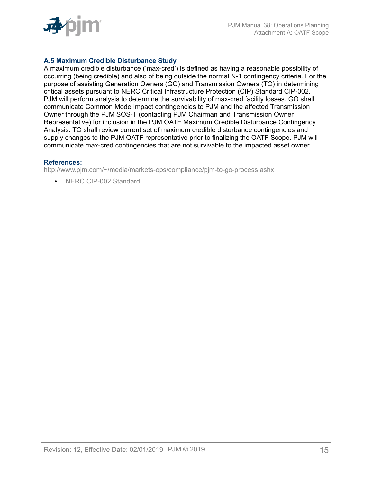

### **A.5 Maximum Credible Disturbance Study**

A maximum credible disturbance ('max-cred') is defined as having a reasonable possibility of occurring (being credible) and also of being outside the normal N-1 contingency criteria. For the purpose of assisting Generation Owners (GO) and Transmission Owners (TO) in determining critical assets pursuant to NERC Critical Infrastructure Protection (CIP) Standard CIP-002, PJM will perform analysis to determine the survivability of max-cred facility losses. GO shall communicate Common Mode Impact contingencies to PJM and the affected Transmission Owner through the PJM SOS-T (contacting PJM Chairman and Transmission Owner Representative) for inclusion in the PJM OATF Maximum Credible Disturbance Contingency Analysis. TO shall review current set of maximum credible disturbance contingencies and supply changes to the PJM OATF representative prior to finalizing the OATF Scope. PJM will communicate max-cred contingencies that are not survivable to the impacted asset owner.

#### **References:**

<http://www.pjm.com/~/media/markets-ops/compliance/pjm-to-go-process.ashx>

• [NERC CIP-002 Standard](https://www.nerc.com/pa/Stand/Reliability%20Standards%20Complete%20Set/RSCompleteSet.pdf)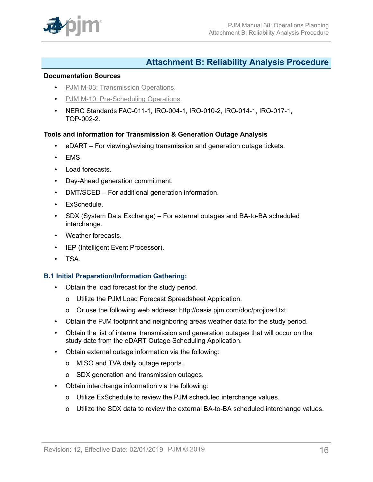

## <span id="page-15-0"></span>**Attachment B: Reliability Analysis Procedure**

#### **Documentation Sources**

- PJM M-03: [Transmission](http://www.pjm.com/~/media/documents/manuals/m03.ashx) Operations.
- [PJM M-10: Pre-Scheduling Operations.](http://www.pjm.com/~/media/documents/manuals/m10.ashx)
- NERC Standards FAC-011-1, IRO-004-1, IRO-010-2, IRO-014-1, IRO-017-1, TOP-002-2.

#### **Tools and information for Transmission & Generation Outage Analysis**

- eDART For viewing/revising transmission and generation outage tickets.
- EMS.
- Load forecasts.
- Day-Ahead generation commitment.
- DMT/SCED For additional generation information.
- ExSchedule.
- SDX (System Data Exchange) For external outages and BA-to-BA scheduled interchange.
- Weather forecasts.
- IEP (Intelligent Event Processor).
- TSA.

#### **B.1 Initial Preparation/Information Gathering:**

- Obtain the load forecast for the study period.
	- o Utilize the PJM Load Forecast Spreadsheet Application.
	- o Or use the following web address: http://oasis.pjm.com/doc/projload.txt
- Obtain the PJM footprint and neighboring areas weather data for the study period.
- Obtain the list of internal transmission and generation outages that will occur on the study date from the eDART Outage Scheduling Application.
- Obtain external outage information via the following:
	- o MISO and TVA daily outage reports.
	- o SDX generation and transmission outages.
- Obtain interchange information via the following:
	- o Utilize ExSchedule to review the PJM scheduled interchange values.
	- o Utilize the SDX data to review the external BA-to-BA scheduled interchange values.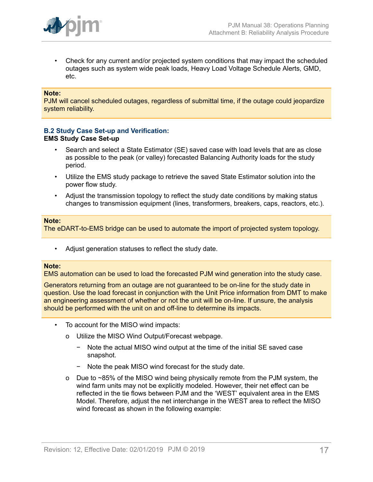

• Check for any current and/or projected system conditions that may impact the scheduled outages such as system wide peak loads, Heavy Load Voltage Schedule Alerts, GMD, etc.

#### **Note:**

PJM will cancel scheduled outages, regardless of submittal time, if the outage could jeopardize system reliability.

#### **B.2 Study Case Set-up and Verification: EMS Study Case Set-up**

- Search and select a State Estimator (SE) saved case with load levels that are as close as possible to the peak (or valley) forecasted Balancing Authority loads for the study period.
- Utilize the EMS study package to retrieve the saved State Estimator solution into the power flow study.
- Adjust the transmission topology to reflect the study date conditions by making status changes to transmission equipment (lines, transformers, breakers, caps, reactors, etc.).

#### **Note:**

The eDART-to-EMS bridge can be used to automate the import of projected system topology.

• Adjust generation statuses to reflect the study date.

#### **Note:**

EMS automation can be used to load the forecasted PJM wind generation into the study case.

Generators returning from an outage are not guaranteed to be on-line for the study date in question. Use the load forecast in conjunction with the Unit Price information from DMT to make an engineering assessment of whether or not the unit will be on-line. If unsure, the analysis should be performed with the unit on and off-line to determine its impacts.

- To account for the MISO wind impacts:
	- o Utilize the MISO Wind Output/Forecast webpage.
		- − Note the actual MISO wind output at the time of the initial SE saved case snapshot.
		- − Note the peak MISO wind forecast for the study date.
	- o Due to ~85% of the MISO wind being physically remote from the PJM system, the wind farm units may not be explicitly modeled. However, their net effect can be reflected in the tie flows between PJM and the 'WEST' equivalent area in the EMS Model. Therefore, adjust the net interchange in the WEST area to reflect the MISO wind forecast as shown in the following example: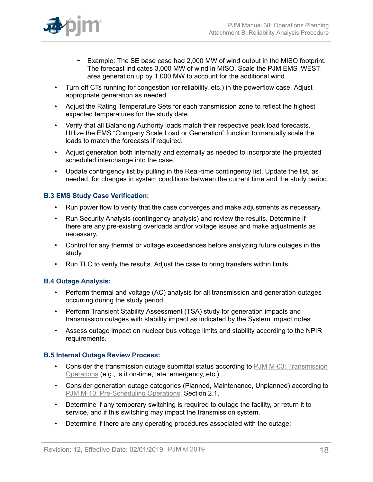

- − Example: The SE base case had 2,000 MW of wind output in the MISO footprint. The forecast indicates 3,000 MW of wind in MISO. Scale the PJM EMS 'WEST' area generation up by 1,000 MW to account for the additional wind.
- Turn off CTs running for congestion (or reliability, etc.) in the powerflow case. Adjust appropriate generation as needed.
- Adjust the Rating Temperature Sets for each transmission zone to reflect the highest expected temperatures for the study date.
- Verify that all Balancing Authority loads match their respective peak load forecasts. Utilize the EMS "Company Scale Load or Generation" function to manually scale the loads to match the forecasts if required.
- Adjust generation both internally and externally as needed to incorporate the projected scheduled interchange into the case.
- Update contingency list by pulling in the Real-time contingency list. Update the list, as needed, for changes in system conditions between the current time and the study period.

### **B.3 EMS Study Case Verification:**

- Run power flow to verify that the case converges and make adjustments as necessary.
- Run Security Analysis (contingency analysis) and review the results. Determine if there are any pre-existing overloads and/or voltage issues and make adjustments as necessary.
- Control for any thermal or voltage exceedances before analyzing future outages in the study.
- Run TLC to verify the results. Adjust the case to bring transfers within limits.

#### **B.4 Outage Analysis:**

- Perform thermal and voltage (AC) analysis for all transmission and generation outages occurring during the study period.
- Perform Transient Stability Assessment (TSA) study for generation impacts and transmission outages with stability impact as indicated by the System Impact notes.
- Assess outage impact on nuclear bus voltage limits and stability according to the NPIR requirements.

#### **B.5 Internal Outage Review Process:**

- Consider the transmission outage submittal status according to PJM M-03: [Transmission](http://www.pjm.com/~/media/documents/manuals/m03.ashx) [Operations](http://www.pjm.com/~/media/documents/manuals/m03.ashx) (e.g., is it on-time, late, emergency, etc.).
- Consider generation outage categories (Planned, Maintenance, Unplanned) according to [PJM M-10: Pre-Scheduling Operations,](http://www.pjm.com/~/media/documents/manuals/m10.ashx) Section 2.1.
- Determine if any temporary switching is required to outage the facility, or return it to service, and if this switching may impact the transmission system.
- Determine if there are any operating procedures associated with the outage: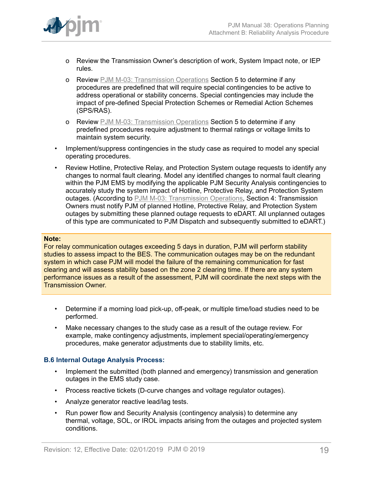

- o Review the Transmission Owner's description of work, System Impact note, or IEP rules.
- o Review PJM M-03: [Transmission](http://www.pjm.com/~/media/documents/manuals/m03.ashx) Operations Section 5 to determine if any procedures are predefined that will require special contingencies to be active to address operational or stability concerns. Special contingencies may include the impact of pre-defined Special Protection Schemes or Remedial Action Schemes (SPS/RAS).
- o Review PJM M-03: [Transmission](http://www.pjm.com/~/media/documents/manuals/m03.ashx) Operations Section 5 to determine if any predefined procedures require adjustment to thermal ratings or voltage limits to maintain system security.
- Implement/suppress contingencies in the study case as required to model any special operating procedures.
- Review Hotline, Protective Relay, and Protection System outage requests to identify any changes to normal fault clearing. Model any identified changes to normal fault clearing within the PJM EMS by modifying the applicable PJM Security Analysis contingencies to accurately study the system impact of Hotline, Protective Relay, and Protection System outages. (According to PJM M-03: [Transmission](http://www.pjm.com/~/media/documents/manuals/m03.ashx) Operations, Section 4: Transmission Owners must notify PJM of planned Hotline, Protective Relay, and Protection System outages by submitting these planned outage requests to eDART. All unplanned outages of this type are communicated to PJM Dispatch and subsequently submitted to eDART.)

#### **Note:**

For relay communication outages exceeding 5 days in duration, PJM will perform stability studies to assess impact to the BES. The communication outages may be on the redundant system in which case PJM will model the failure of the remaining communication for fast clearing and will assess stability based on the zone 2 clearing time. If there are any system performance issues as a result of the assessment, PJM will coordinate the next steps with the Transmission Owner.

- Determine if a morning load pick-up, off-peak, or multiple time/load studies need to be performed.
- Make necessary changes to the study case as a result of the outage review. For example, make contingency adjustments, implement special/operating/emergency procedures, make generator adjustments due to stability limits, etc.

#### **B.6 Internal Outage Analysis Process:**

- Implement the submitted (both planned and emergency) transmission and generation outages in the EMS study case.
- Process reactive tickets (D-curve changes and voltage regulator outages).
- Analyze generator reactive lead/lag tests.
- Run power flow and Security Analysis (contingency analysis) to determine any thermal, voltage, SOL, or IROL impacts arising from the outages and projected system conditions.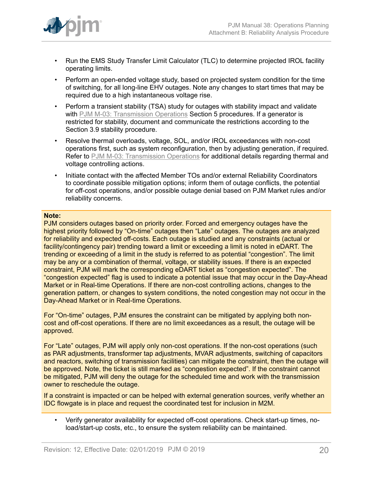

- Run the EMS Study Transfer Limit Calculator (TLC) to determine projected IROL facility operating limits.
- Perform an open-ended voltage study, based on projected system condition for the time of switching, for all long-line EHV outages. Note any changes to start times that may be required due to a high instantaneous voltage rise.
- Perform a transient stability (TSA) study for outages with stability impact and validate with PJM M-03: [Transmission](http://www.pjm.com/~/media/documents/manuals/m03.ashx) Operations Section 5 procedures. If a generator is restricted for stability, document and communicate the restrictions according to the Section 3.9 stability procedure.
- Resolve thermal overloads, voltage, SOL, and/or IROL exceedances with non-cost operations first, such as system reconfiguration, then by adjusting generation, if required. Refer to PJM M-03: [Transmission](http://www.pjm.com/~/media/documents/manuals/m03.ashx) Operations for additional details regarding thermal and voltage controlling actions.
- Initiate contact with the affected Member TOs and/or external Reliability Coordinators to coordinate possible mitigation options; inform them of outage conflicts, the potential for off-cost operations, and/or possible outage denial based on PJM Market rules and/or reliability concerns.

#### **Note:**

PJM considers outages based on priority order. Forced and emergency outages have the highest priority followed by "On-time" outages then "Late" outages. The outages are analyzed for reliability and expected off-costs. Each outage is studied and any constraints (actual or facility/contingency pair) trending toward a limit or exceeding a limit is noted in eDART. The trending or exceeding of a limit in the study is referred to as potential "congestion". The limit may be any or a combination of thermal, voltage, or stability issues. If there is an expected constraint, PJM will mark the corresponding eDART ticket as "congestion expected". The "congestion expected" flag is used to indicate a potential issue that may occur in the Day-Ahead Market or in Real-time Operations. If there are non-cost controlling actions, changes to the generation pattern, or changes to system conditions, the noted congestion may not occur in the Day-Ahead Market or in Real-time Operations.

For "On-time" outages, PJM ensures the constraint can be mitigated by applying both noncost and off-cost operations. If there are no limit exceedances as a result, the outage will be approved.

For "Late" outages, PJM will apply only non-cost operations. If the non-cost operations (such as PAR adjustments, transformer tap adjustments, MVAR adjustments, switching of capacitors and reactors, switching of transmission facilities) can mitigate the constraint, then the outage will be approved. Note, the ticket is still marked as "congestion expected". If the constraint cannot be mitigated, PJM will deny the outage for the scheduled time and work with the transmission owner to reschedule the outage.

If a constraint is impacted or can be helped with external generation sources, verify whether an IDC flowgate is in place and request the coordinated test for inclusion in M2M.

• Verify generator availability for expected off-cost operations. Check start-up times, noload/start-up costs, etc., to ensure the system reliability can be maintained.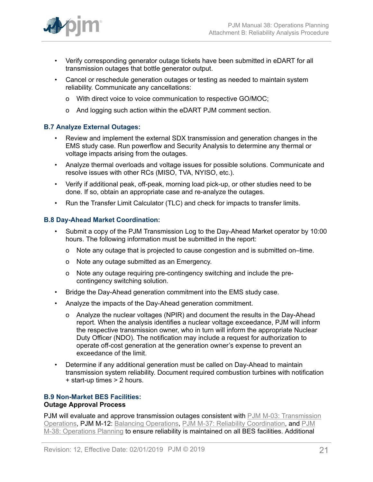

- Verify corresponding generator outage tickets have been submitted in eDART for all transmission outages that bottle generator output.
- Cancel or reschedule generation outages or testing as needed to maintain system reliability. Communicate any cancellations:
	- o With direct voice to voice communication to respective GO/MOC;
	- o And logging such action within the eDART PJM comment section.

#### **B.7 Analyze External Outages:**

- Review and implement the external SDX transmission and generation changes in the EMS study case. Run powerflow and Security Analysis to determine any thermal or voltage impacts arising from the outages.
- Analyze thermal overloads and voltage issues for possible solutions. Communicate and resolve issues with other RCs (MISO, TVA, NYISO, etc.).
- Verify if additional peak, off-peak, morning load pick-up, or other studies need to be done. If so, obtain an appropriate case and re-analyze the outages.
- Run the Transfer Limit Calculator (TLC) and check for impacts to transfer limits.

#### **B.8 Day-Ahead Market Coordination:**

- Submit a copy of the PJM Transmission Log to the Day-Ahead Market operator by 10:00 hours. The following information must be submitted in the report:
	- o Note any outage that is projected to cause congestion and is submitted on–time.
	- o Note any outage submitted as an Emergency.
	- o Note any outage requiring pre-contingency switching and include the precontingency switching solution.
- Bridge the Day-Ahead generation commitment into the EMS study case.
- Analyze the impacts of the Day-Ahead generation commitment.
	- o Analyze the nuclear voltages (NPIR) and document the results in the Day-Ahead report. When the analysis identifies a nuclear voltage exceedance, PJM will inform the respective transmission owner, who in turn will inform the appropriate Nuclear Duty Officer (NDO). The notification may include a request for authorization to operate off-cost generation at the generation owner's expense to prevent an exceedance of the limit.
- Determine if any additional generation must be called on Day-Ahead to maintain transmission system reliability. Document required combustion turbines with notification + start-up times > 2 hours.

#### **B.9 Non-Market BES Facilities: Outage Approval Process**

PJM will evaluate and approve transmission outages consistent with PJM M-03: [Transmission](http://www.pjm.com/~/media/documents/manuals/m03.ashx) [Operations,](http://www.pjm.com/~/media/documents/manuals/m03.ashx) PJM M-12: [Balancing Operations](http://pjm.com/~/media/documents/manuals/m12.ashx), [PJM M-37: Reliability Coordination,](http://pjm.com/~/media/documents/manuals/m37.ashx) and [PJM](http://www.pjm.com/~/media/documents/manuals/m38.ashx) [M-38: Operations Planning](http://www.pjm.com/~/media/documents/manuals/m38.ashx) to ensure reliability is maintained on all BES facilities. Additional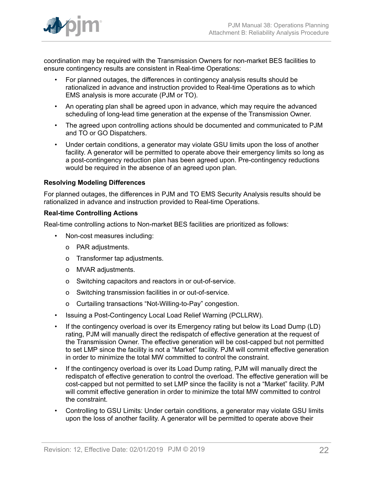coordination may be required with the Transmission Owners for non-market BES facilities to ensure contingency results are consistent in Real-time Operations:

- For planned outages, the differences in contingency analysis results should be rationalized in advance and instruction provided to Real-time Operations as to which EMS analysis is more accurate (PJM or TO).
- An operating plan shall be agreed upon in advance, which may require the advanced scheduling of long-lead time generation at the expense of the Transmission Owner.
- The agreed upon controlling actions should be documented and communicated to PJM and TO or GO Dispatchers.
- Under certain conditions, a generator may violate GSU limits upon the loss of another facility. A generator will be permitted to operate above their emergency limits so long as a post-contingency reduction plan has been agreed upon. Pre-contingency reductions would be required in the absence of an agreed upon plan.

### **Resolving Modeling Differences**

For planned outages, the differences in PJM and TO EMS Security Analysis results should be rationalized in advance and instruction provided to Real-time Operations.

#### **Real-time Controlling Actions**

Real-time controlling actions to Non-market BES facilities are prioritized as follows:

- Non-cost measures including:
	- o PAR adjustments.
	- o Transformer tap adjustments.
	- o MVAR adjustments.
	- o Switching capacitors and reactors in or out-of-service.
	- o Switching transmission facilities in or out-of-service.
	- o Curtailing transactions "Not-Willing-to-Pay" congestion.
- Issuing a Post-Contingency Local Load Relief Warning (PCLLRW).
- If the contingency overload is over its Emergency rating but below its Load Dump (LD) rating, PJM will manually direct the redispatch of effective generation at the request of the Transmission Owner. The effective generation will be cost-capped but not permitted to set LMP since the facility is not a "Market" facility. PJM will commit effective generation in order to minimize the total MW committed to control the constraint.
- If the contingency overload is over its Load Dump rating, PJM will manually direct the redispatch of effective generation to control the overload. The effective generation will be cost-capped but not permitted to set LMP since the facility is not a "Market" facility. PJM will commit effective generation in order to minimize the total MW committed to control the constraint.
- Controlling to GSU Limits: Under certain conditions, a generator may violate GSU limits upon the loss of another facility. A generator will be permitted to operate above their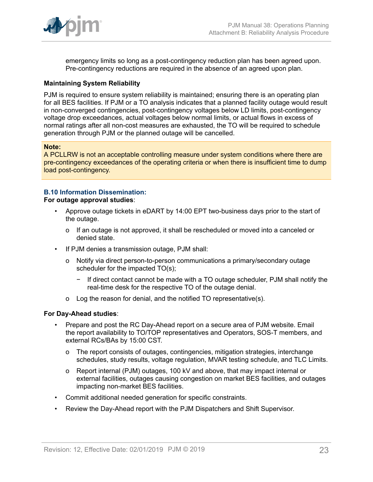

emergency limits so long as a post-contingency reduction plan has been agreed upon. Pre-contingency reductions are required in the absence of an agreed upon plan.

#### **Maintaining System Reliability**

PJM is required to ensure system reliability is maintained; ensuring there is an operating plan for all BES facilities. If PJM or a TO analysis indicates that a planned facility outage would result in non-converged contingencies, post-contingency voltages below LD limits, post-contingency voltage drop exceedances, actual voltages below normal limits, or actual flows in excess of normal ratings after all non-cost measures are exhausted, the TO will be required to schedule generation through PJM or the planned outage will be cancelled.

#### **Note:**

A PCLLRW is not an acceptable controlling measure under system conditions where there are pre-contingency exceedances of the operating criteria or when there is insufficient time to dump load post-contingency.

### **B.10 Information Dissemination:**

#### **For outage approval studies**:

- Approve outage tickets in eDART by 14:00 EPT two-business days prior to the start of the outage.
	- o If an outage is not approved, it shall be rescheduled or moved into a canceled or denied state.
- If PJM denies a transmission outage, PJM shall:
	- o Notify via direct person-to-person communications a primary/secondary outage scheduler for the impacted TO(s);
		- − If direct contact cannot be made with a TO outage scheduler, PJM shall notify the real-time desk for the respective TO of the outage denial.
	- o Log the reason for denial, and the notified TO representative(s).

#### **For Day-Ahead studies**:

- Prepare and post the RC Day-Ahead report on a secure area of PJM website. Email the report availability to TO/TOP representatives and Operators, SOS-T members, and external RCs/BAs by 15:00 CST.
	- o The report consists of outages, contingencies, mitigation strategies, interchange schedules, study results, voltage regulation, MVAR testing schedule, and TLC Limits.
	- o Report internal (PJM) outages, 100 kV and above, that may impact internal or external facilities, outages causing congestion on market BES facilities, and outages impacting non-market BES facilities.
- Commit additional needed generation for specific constraints.
- Review the Day-Ahead report with the PJM Dispatchers and Shift Supervisor.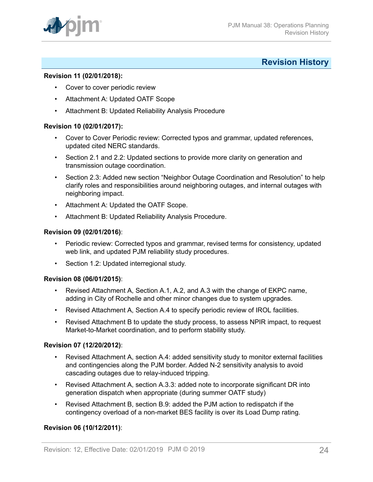

## <span id="page-23-0"></span>**Revision History**

#### **Revision 11 (02/01/2018):**

- Cover to cover periodic review
- Attachment A: Updated OATF Scope
- Attachment B: Updated Reliability Analysis Procedure

#### **Revision 10 (02/01/2017):**

- Cover to Cover Periodic review: Corrected typos and grammar, updated references, updated cited NERC standards.
- Section 2.1 and 2.2: Updated sections to provide more clarity on generation and transmission outage coordination.
- Section 2.3: Added new section "Neighbor Outage Coordination and Resolution" to help clarify roles and responsibilities around neighboring outages, and internal outages with neighboring impact.
- Attachment A: Updated the OATF Scope.
- Attachment B: Updated Reliability Analysis Procedure.

#### **Revision 09 (02/01/2016)**:

- Periodic review: Corrected typos and grammar, revised terms for consistency, updated web link, and updated PJM reliability study procedures.
- Section 1.2: Updated interregional study.

#### **Revision 08 (06/01/2015)**:

- Revised Attachment A, Section A.1, A.2, and A.3 with the change of EKPC name, adding in City of Rochelle and other minor changes due to system upgrades.
- Revised Attachment A, Section A.4 to specify periodic review of IROL facilities.
- Revised Attachment B to update the study process, to assess NPIR impact, to request Market-to-Market coordination, and to perform stability study.

#### **Revision 07 (12/20/2012)**:

- Revised Attachment A, section A.4: added sensitivity study to monitor external facilities and contingencies along the PJM border. Added N-2 sensitivity analysis to avoid cascading outages due to relay-induced tripping.
- Revised Attachment A, section A.3.3: added note to incorporate significant DR into generation dispatch when appropriate (during summer OATF study)
- Revised Attachment B, section B.9: added the PJM action to redispatch if the contingency overload of a non-market BES facility is over its Load Dump rating.

#### **Revision 06 (10/12/2011)**: